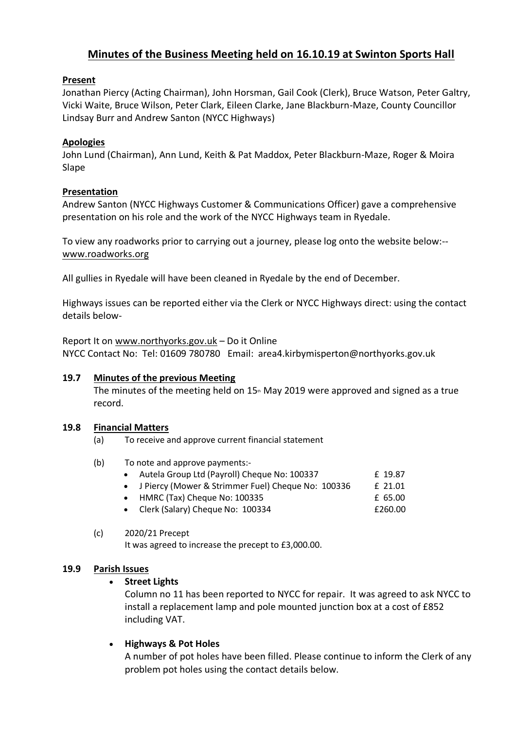# **Minutes of the Business Meeting held on 16.10.19 at Swinton Sports Hall**

### **Present**

Jonathan Piercy (Acting Chairman), John Horsman, Gail Cook (Clerk), Bruce Watson, Peter Galtry, Vicki Waite, Bruce Wilson, Peter Clark, Eileen Clarke, Jane Blackburn-Maze, County Councillor Lindsay Burr and Andrew Santon (NYCC Highways)

### **Apologies**

John Lund (Chairman), Ann Lund, Keith & Pat Maddox, Peter Blackburn-Maze, Roger & Moira Slape

### **Presentation**

Andrew Santon (NYCC Highways Customer & Communications Officer) gave a comprehensive presentation on his role and the work of the NYCC Highways team in Ryedale.

To view any roadworks prior to carrying out a journey, please log onto the website below:- [www.roadworks.org](http://www.roadworks.org/)

All gullies in Ryedale will have been cleaned in Ryedale by the end of December.

Highways issues can be reported either via the Clerk or NYCC Highways direct: using the contact details below-

Report It on [www.northyorks.gov.uk](http://www.northyorks.gov.uk/) – Do it Online NYCC Contact No: Tel: 01609 780780 Email: area4.kirbymisperton@northyorks.gov.uk

### **19.7 Minutes of the previous Meeting**

The minutes of the meeting held on  $15<sup>th</sup>$  May 2019 were approved and signed as a true record.

### **19.8 Financial Matters**

- (a) To receive and approve current financial statement
- (b) To note and approve payments:-

|  | Autela Group Ltd (Payroll) Cheque No: 100337 |  |  | £ 19.87 |
|--|----------------------------------------------|--|--|---------|
|  |                                              |  |  |         |

- J Piercy (Mower & Strimmer Fuel) Cheque No: 100336 f 21.01
- HMRC (Tax) Cheque No:  $100335$   $E\,65.00$
- Clerk (Salary) Cheque No: 100334 **£260.00**
- (c) 2020/21 Precept It was agreed to increase the precept to £3,000.00.

### **19.9 Parish Issues**

# • **Street Lights**

Column no 11 has been reported to NYCC for repair. It was agreed to ask NYCC to install a replacement lamp and pole mounted junction box at a cost of £852 including VAT.

# • **Highways & Pot Holes**

A number of pot holes have been filled. Please continue to inform the Clerk of any problem pot holes using the contact details below.